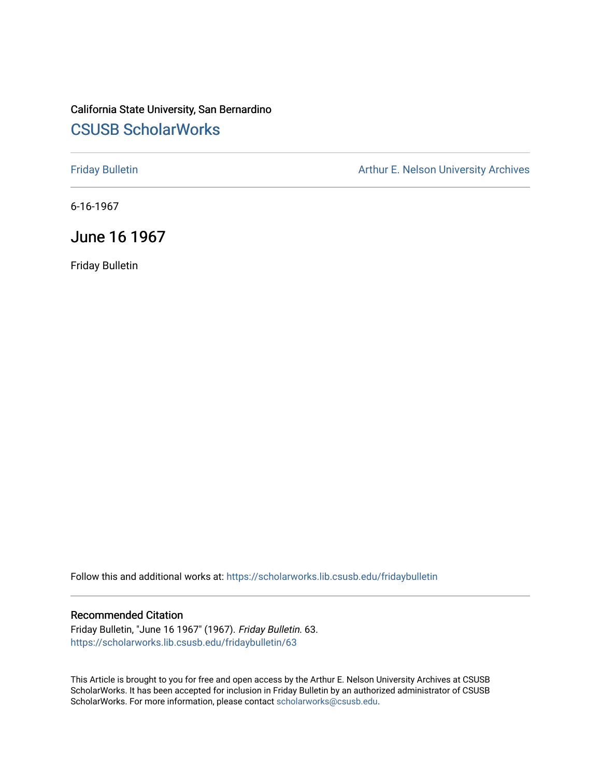### California State University, San Bernardino [CSUSB ScholarWorks](https://scholarworks.lib.csusb.edu/)

[Friday Bulletin](https://scholarworks.lib.csusb.edu/fridaybulletin) **Arthur E. Nelson University Archives** Arthur E. Nelson University Archives

6-16-1967

June 16 1967

Friday Bulletin

Follow this and additional works at: [https://scholarworks.lib.csusb.edu/fridaybulletin](https://scholarworks.lib.csusb.edu/fridaybulletin?utm_source=scholarworks.lib.csusb.edu%2Ffridaybulletin%2F63&utm_medium=PDF&utm_campaign=PDFCoverPages)

### Recommended Citation

Friday Bulletin, "June 16 1967" (1967). Friday Bulletin. 63. [https://scholarworks.lib.csusb.edu/fridaybulletin/63](https://scholarworks.lib.csusb.edu/fridaybulletin/63?utm_source=scholarworks.lib.csusb.edu%2Ffridaybulletin%2F63&utm_medium=PDF&utm_campaign=PDFCoverPages) 

This Article is brought to you for free and open access by the Arthur E. Nelson University Archives at CSUSB ScholarWorks. It has been accepted for inclusion in Friday Bulletin by an authorized administrator of CSUSB ScholarWorks. For more information, please contact [scholarworks@csusb.edu.](mailto:scholarworks@csusb.edu)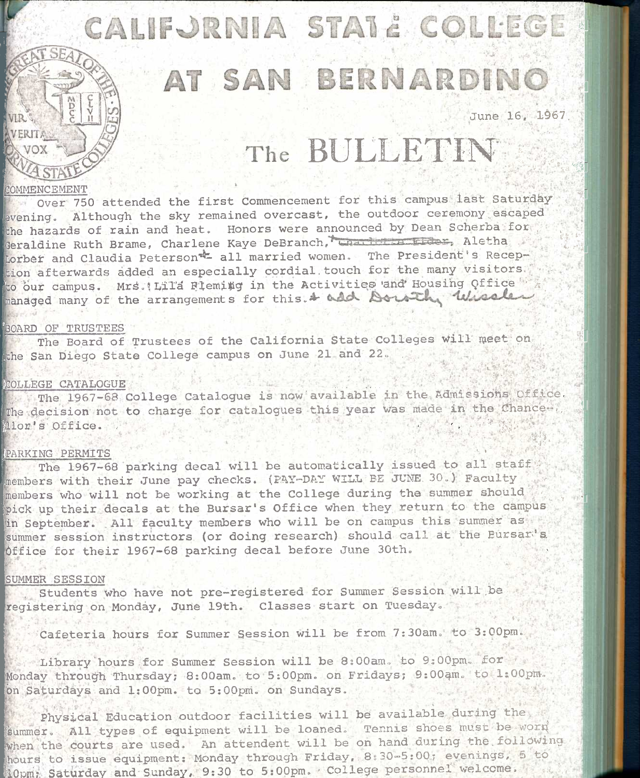# *n*  $\overline{A}$  **0**  $\overline{A}$  **.**  $\overline{A}$  **i**

## AT SAN BERNARDINO

June 16, 1967.

**<sup>i</sup>'-l " t V ' V S-,** 

' " V '"' "vi '\*T3I

乳

 $\mathbf{g}_{\perp}$ 

*'f* ^1

*r>.* ."•ii'

**4- If** 

11  $6. r \frac{3}{4}$ 

## The BULLETIN

### COMMENCEMENT

VIR .

Over 750 attended the first Commencement for this campus last Saturday evening. Although the sky remained overcast, the outdoor ceremony escaped the hazards of rain and heat. Honors were announced by Dean Scherba for Geraldine Ruth Brame, Charlene Kaye DeBranch, Charlen Lider, Aletha Lorber and Claudia Peterson<sup>-2</sup> all married women. The President's Reception afterwards added an especially cordial touch for the many visitors. to our campus. Mrs.!LiTa Flemi#g in the Activities and Housing Qffice <sup>62</sup> managed many of the arrangements for this.  $\ast$  add Doutch Wiseles

### **'BOARD OF TRUSTEES**

The Board of Trustees of the California State Colleges will meet on the San Diego State College campus on June 21 and 22,

## **FCOLLEGE CATALOGUE**

**The** 1967-68 College Catalogue is now'available in the Admissions, Office, The decision not to charge for catalogues this year was made in the Chance... **Alor's Office.**  $\frac{1}{2}$  is the state of the state of  $\frac{1}{2}$  is the state of  $\frac{1}{2}$ jV'\*

### [PARKING PERMITS ' '

The 1967-68 parking decal will be automatically issued to all staff  $\gamma$ members with their June pay checks. (PAY-DAY WILL BE JUNE 30.) Faculty members who will not be working at the College during the summer should pick up their decals at the Bursar's Office when they return to the campus in September. .All faculty members who will be on campus this summer as summer session instructors (or doing research) should call at the Eursar's Office for their 1967-68 parking decal before June 30th.

#### SUMMER SESSION

, Students Who have not pre-registered for Summer Session will.be registering on Monday, June 19th. Classes start on Tuesday.

Cafeteria hours for Summer Session will be from 7;30am. to 3:00pm.

Library hours for Summer Session will be 8:00am. to 9:00pm. for Monday through Thursday; 8:00am. to 5:00pm. on Fridays; 9:00am. to 1:00pm. bn Saturdays and 1;00pm. to 5:OOpni. on Sundays. -

**Physidal Education outdoor facilities will be available during the**  summer. All types of equipment will be loaned. Tennis shoes must be worn when the courts are used. An attendent will be on hand during the following hours to issue equipment: Monday through Friday, 8:30-5:00; evenings, 5 to **lOpm:** Saturday and Sunday, 9:30 to 5:00pm. College personnel welcome.